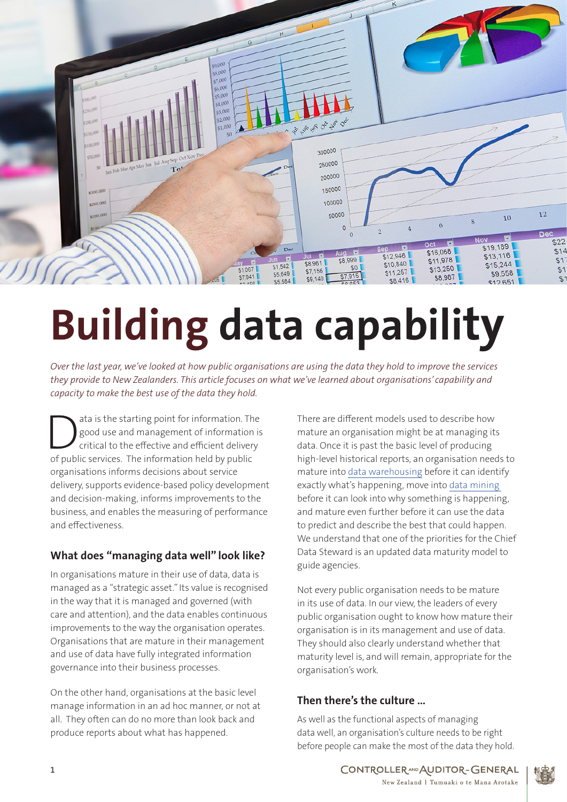

# **Building data capability**

*Over the last year, we've looked at how public organisations are using the data they hold to improve the services they provide to New Zealanders. This article focuses on what we've learned about organisations' capability and capacity to make the best use of the data they hold.*

ata is the starting point for information. The<br>good use and management of information is<br>critical to the effective and efficient delivery<br>of public services. The information held by public good use and management of information is critical to the effective and efficient delivery of public services. The information held by public organisations informs decisions about service delivery, supports evidence-based policy development and decision-making, informs improvements to the business, and enables the measuring of performance and effectiveness.

## **What does "managing data well" look like?**

In organisations mature in their use of data, data is managed as a "strategic asset." Its value is recognised in the way that it is managed and governed (with care and attention), and the data enables continuous improvements to the way the organisation operates. Organisations that are mature in their management and use of data have fully integrated information governance into their business processes.

On the other hand, organisations at the basic level manage information in an ad hoc manner, or not at all. They often can do no more than look back and produce reports about what has happened.

There are different models used to describe how mature an organisation might be at managing its data. Once it is past the basic level of producing high-level historical reports, an organisation needs to mature into [data warehousing](https://en.wikipedia.org/wiki/Data_warehouse) before it can identify exactly what's happening, move into [data mining](https://en.wikipedia.org/wiki/Data_mining)  before it can look into why something is happening, and mature even further before it can use the data to predict and describe the best that could happen. We understand that one of the priorities for the Chief Data Steward is an updated data maturity model to guide agencies.

Not every public organisation needs to be mature in its use of data. In our view, the leaders of every public organisation ought to know how mature their organisation is in its management and use of data. They should also clearly understand whether that maturity level is, and will remain, appropriate for the organisation's work.

## **Then there's the culture …**

As well as the functional aspects of managing data well, an organisation's culture needs to be right before people can make the most of the data they hold.

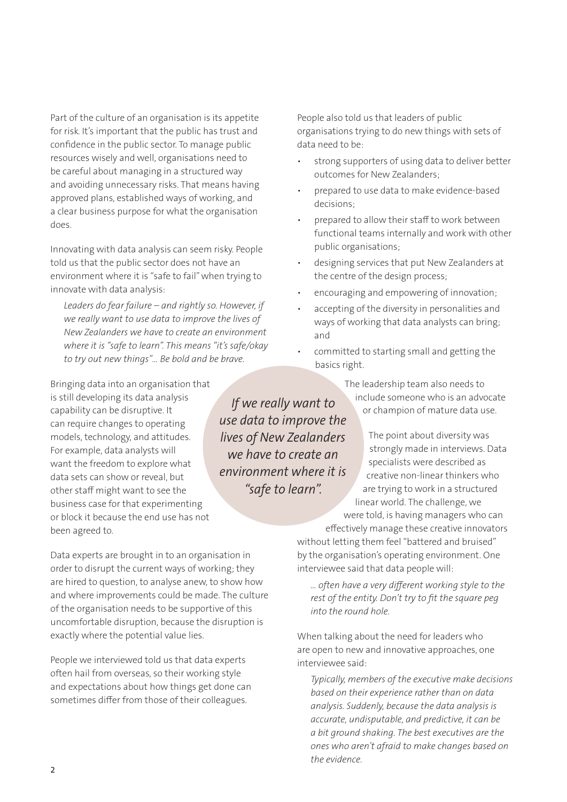Part of the culture of an organisation is its appetite for risk. It's important that the public has trust and confidence in the public sector. To manage public resources wisely and well, organisations need to be careful about managing in a structured way and avoiding unnecessary risks. That means having approved plans, established ways of working, and a clear business purpose for what the organisation does.

Innovating with data analysis can seem risky. People told us that the public sector does not have an environment where it is "safe to fail" when trying to innovate with data analysis:

*Leaders do fear failure – and rightly so. However, if we really want to use data to improve the lives of New Zealanders we have to create an environment where it is "safe to learn". This means "it's safe/okay to try out new things"… Be bold and be brave.* 

Bringing data into an organisation that is still developing its data analysis capability can be disruptive. It can require changes to operating models, technology, and attitudes. For example, data analysts will want the freedom to explore what data sets can show or reveal, but other staff might want to see the business case for that experimenting or block it because the end use has not been agreed to.

Data experts are brought in to an organisation in order to disrupt the current ways of working; they are hired to question, to analyse anew, to show how and where improvements could be made. The culture of the organisation needs to be supportive of this uncomfortable disruption, because the disruption is exactly where the potential value lies.

People we interviewed told us that data experts often hail from overseas, so their working style and expectations about how things get done can sometimes differ from those of their colleagues.

People also told us that leaders of public organisations trying to do new things with sets of data need to be:

- strong supporters of using data to deliver better outcomes for New Zealanders;
- prepared to use data to make evidence-based decisions;
- prepared to allow their staff to work between functional teams internally and work with other public organisations;
- designing services that put New Zealanders at the centre of the design process;
- encouraging and empowering of innovation;
- accepting of the diversity in personalities and ways of working that data analysts can bring; and
- committed to starting small and getting the basics right.

The leadership team also needs to include someone who is an advocate or champion of mature data use.

The point about diversity was strongly made in interviews. Data specialists were described as creative non-linear thinkers who are trying to work in a structured linear world. The challenge, we were told, is having managers who can

effectively manage these creative innovators without letting them feel "battered and bruised" by the organisation's operating environment. One interviewee said that data people will:

*… often have a very different working style to the rest of the entity. Don't try to fit the square peg into the round hole.*

When talking about the need for leaders who are open to new and innovative approaches, one interviewee said:

*Typically, members of the executive make decisions based on their experience rather than on data analysis. Suddenly, because the data analysis is accurate, undisputable, and predictive, it can be a bit ground shaking. The best executives are the ones who aren't afraid to make changes based on the evidence.*

*If we really want to use data to improve the lives of New Zealanders we have to create an environment where it is "safe to learn".*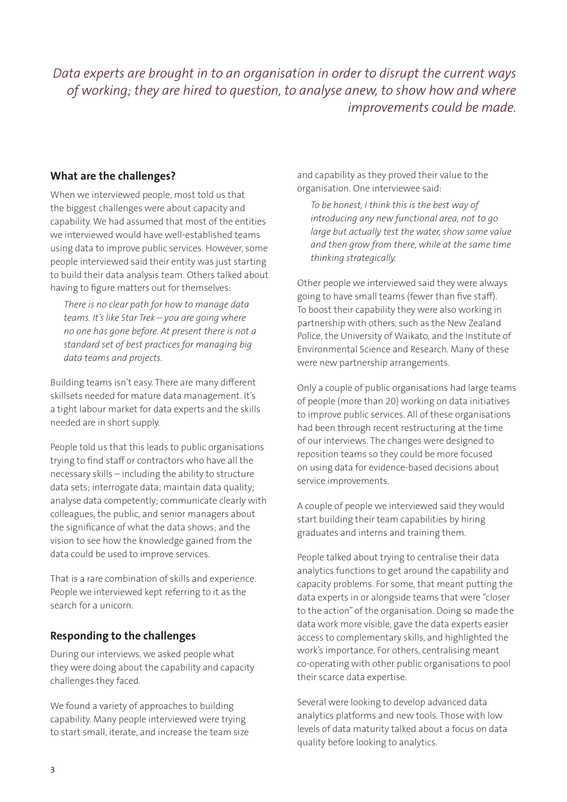## *Data experts are brought in to an organisation in order to disrupt the current ways of working; they are hired to question, to analyse anew, to show how and where improvements could be made.*

### **What are the challenges?**

When we interviewed people, most told us that the biggest challenges were about capacity and capability. We had assumed that most of the entities we interviewed would have well-established teams using data to improve public services. However, some people interviewed said their entity was just starting to build their data analysis team. Others talked about having to figure matters out for themselves:

*There is no clear path for how to manage data teams. It's like Star Trek – you are going where no one has gone before. At present there is not a standard set of best practices for managing big data teams and projects.*

Building teams isn't easy. There are many different skillsets needed for mature data management. It's a tight labour market for data experts and the skills needed are in short supply.

People told us that this leads to public organisations trying to find staff or contractors who have all the necessary skills – including the ability to structure data sets; interrogate data; maintain data quality; analyse data competently; communicate clearly with colleagues, the public, and senior managers about the significance of what the data shows; and the vision to see how the knowledge gained from the data could be used to improve services.

That is a rare combination of skills and experience. People we interviewed kept referring to it as the search for a unicorn.

#### **Responding to the challenges**

During our interviews, we asked people what they were doing about the capability and capacity challenges they faced.

We found a variety of approaches to building capability. Many people interviewed were trying to start small, iterate, and increase the team size

and capability as they proved their value to the organisation. One interviewee said:

*To be honest, I think this is the best way of introducing any new functional area, not to go large but actually test the water, show some value and then grow from there, while at the same time thinking strategically.*

Other people we interviewed said they were always going to have small teams (fewer than five staff). To boost their capability they were also working in partnership with others, such as the New Zealand Police, the University of Waikato, and the Institute of Environmental Science and Research. Many of these were new partnership arrangements.

Only a couple of public organisations had large teams of people (more than 20) working on data initiatives to improve public services. All of these organisations had been through recent restructuring at the time of our interviews. The changes were designed to reposition teams so they could be more focused on using data for evidence-based decisions about service improvements.

A couple of people we interviewed said they would start building their team capabilities by hiring graduates and interns and training them.

People talked about trying to centralise their data analytics functions to get around the capability and capacity problems. For some, that meant putting the data experts in or alongside teams that were "closer to the action" of the organisation. Doing so made the data work more visible, gave the data experts easier access to complementary skills, and highlighted the work's importance. For others, centralising meant co-operating with other public organisations to pool their scarce data expertise.

Several were looking to develop advanced data analytics platforms and new tools. Those with low levels of data maturity talked about a focus on data quality before looking to analytics.